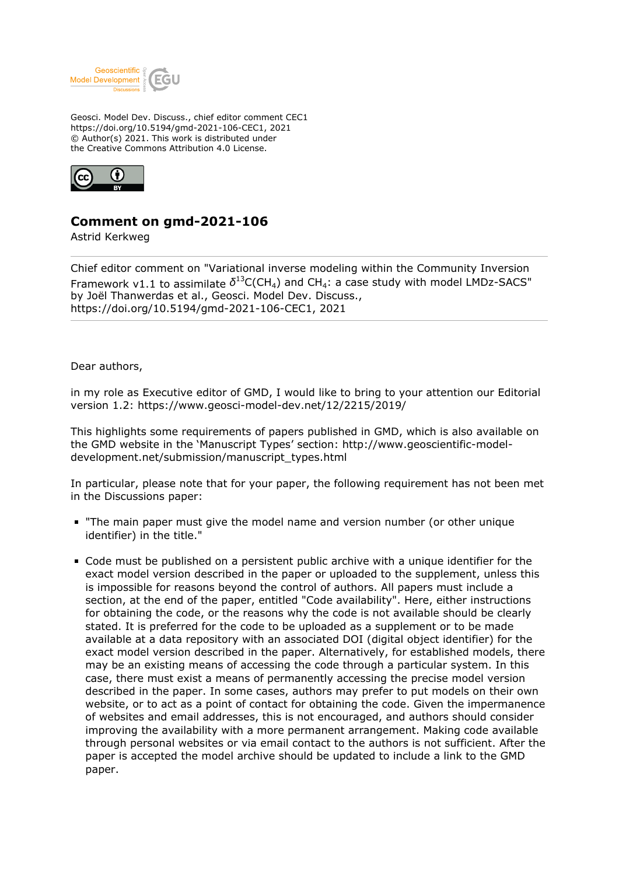

Geosci. Model Dev. Discuss., chief editor comment CEC1 https://doi.org/10.5194/gmd-2021-106-CEC1, 2021 © Author(s) 2021. This work is distributed under the Creative Commons Attribution 4.0 License.



## **Comment on gmd-2021-106**

Astrid Kerkweg

Chief editor comment on "Variational inverse modeling within the Community Inversion Framework v1.1 to assimilate  $\delta^{13}$ C(CH<sub>4</sub>) and CH<sub>4</sub>: a case study with model LMDz-SACS" by Joël Thanwerdas et al., Geosci. Model Dev. Discuss., https://doi.org/10.5194/gmd-2021-106-CEC1, 2021

Dear authors,

in my role as Executive editor of GMD, I would like to bring to your attention our Editorial version 1.2: https://www.geosci-model-dev.net/12/2215/2019/

This highlights some requirements of papers published in GMD, which is also available on the GMD website in the 'Manuscript Types' section: http://www.geoscientific-modeldevelopment.net/submission/manuscript\_types.html

In particular, please note that for your paper, the following requirement has not been met in the Discussions paper:

- "The main paper must give the model name and version number (or other unique identifier) in the title."
- Code must be published on a persistent public archive with a unique identifier for the exact model version described in the paper or uploaded to the supplement, unless this is impossible for reasons beyond the control of authors. All papers must include a section, at the end of the paper, entitled "Code availability". Here, either instructions for obtaining the code, or the reasons why the code is not available should be clearly stated. It is preferred for the code to be uploaded as a supplement or to be made available at a data repository with an associated DOI (digital object identifier) for the exact model version described in the paper. Alternatively, for established models, there may be an existing means of accessing the code through a particular system. In this case, there must exist a means of permanently accessing the precise model version described in the paper. In some cases, authors may prefer to put models on their own website, or to act as a point of contact for obtaining the code. Given the impermanence of websites and email addresses, this is not encouraged, and authors should consider improving the availability with a more permanent arrangement. Making code available through personal websites or via email contact to the authors is not sufficient. After the paper is accepted the model archive should be updated to include a link to the GMD paper.